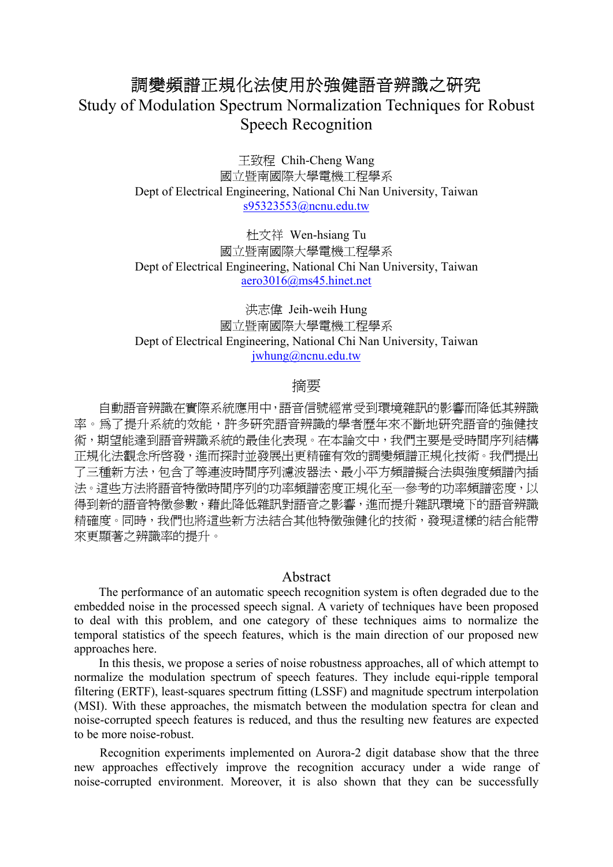# 調變頻譜正規化法使用於強健語音辨識之研究

Study of Modulation Spectrum Normalization Techniques for Robust Speech Recognition

> 王致程 Chih-Cheng Wang 國立暨南國際大學電機工程學系 Dept of Electrical Engineering, National Chi Nan University, Taiwan s95323553@ncnu.edu.tw

> 杜文祥 Wen-hsiang Tu 國立暨南國際大學電機工程學系 Dept of Electrical Engineering, National Chi Nan University, Taiwan aero3016@ms45.hinet.net

> 洪志偉 Jeih-weih Hung 國立暨南國際大學電機工程學系 Dept of Electrical Engineering, National Chi Nan University, Taiwan jwhung@ncnu.edu.tw

### 摘要

 自動語音辨識在實際系統應用中,語音信號經常受到環境雜訊的影響而降低其辨識 率。為了提升系統的效能,許多研究語音辨識的學者歷年來不斷地研究語音的強健技 術,期望能達到語音辨識系統的最佳化表現。在本論文中,我們主要是受時間序列結構 正規化法觀念所啟發,進而探討並發展出更精確有效的調變頻譜正規化技術。我們提出 了三種新方法,包含了等連波時間序列濾波器法、最小平方頻譜擬合法與強度頻譜內插 法。這些方法將語音特徵時間序列的功率頻譜密度正規化至一參考的功率頻譜密度,以 得到新的語音特徵參數,藉此降低雜訊對語音之影響,進而提升雜訊環境下的語音辨識 精確度。同時,我們也將這些新方法結合其他特徵強健化的技術,發現這樣的結合能帶 來更顯著之辨識率的提升。

#### Abstract

The performance of an automatic speech recognition system is often degraded due to the embedded noise in the processed speech signal. A variety of techniques have been proposed to deal with this problem, and one category of these techniques aims to normalize the temporal statistics of the speech features, which is the main direction of our proposed new approaches here.

In this thesis, we propose a series of noise robustness approaches, all of which attempt to normalize the modulation spectrum of speech features. They include equi-ripple temporal filtering (ERTF), least-squares spectrum fitting (LSSF) and magnitude spectrum interpolation (MSI). With these approaches, the mismatch between the modulation spectra for clean and noise-corrupted speech features is reduced, and thus the resulting new features are expected to be more noise-robust.

Recognition experiments implemented on Aurora-2 digit database show that the three new approaches effectively improve the recognition accuracy under a wide range of noise-corrupted environment. Moreover, it is also shown that they can be successfully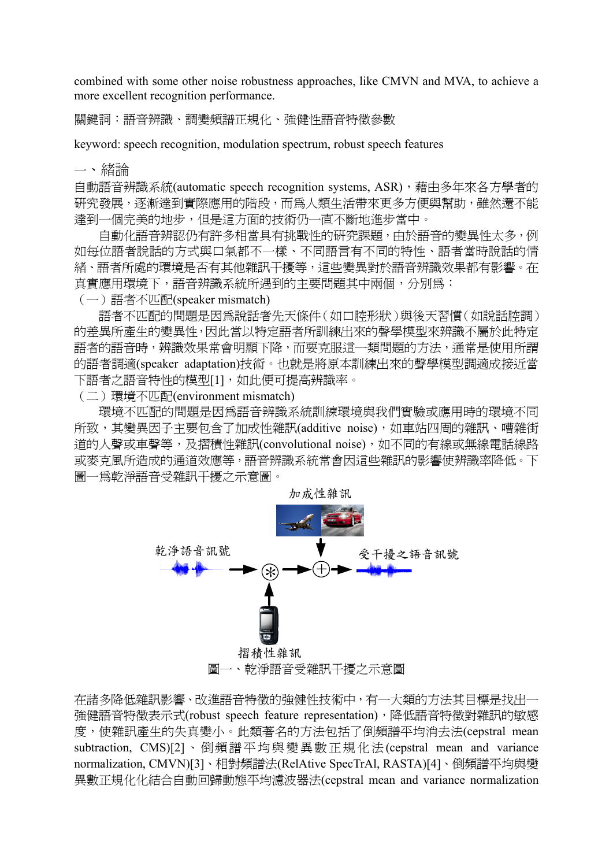combined with some other noise robustness approaches, like CMVN and MVA, to achieve a more excellent recognition performance.

關鍵詞:語音辨識、調變頻譜正規化、強健性語音特徵參數

keyword: speech recognition, modulation spectrum, robust speech features

一、緒論

自動語音辨識系統(automatic speech recognition systems, ASR),藉由多年來各方學者的 研究發展,逐漸達到實際應用的階段,而為人類生活帶來更多方便與幫助,雖然還不能 達到一個完美的地步,但是這方面的技術仍一直不斷地進步當中。

自動化語音辨認仍有許多相當具有挑戰性的研究課題,由於語音的變異性太多,例 如每位語者說話的方式與口氣都不一樣、不同語言有不同的特性、語者當時說話的情 緒、語者所處的環境是否有其他雜訊干擾等,這些變異對於語音辨識效果都有影響。在 真實應用環境下,語音辨識系統所遇到的主要問題其中兩個,分別為:

(一)語者不匹配(speaker mismatch)

 語者不匹配的問題是因為說話者先天條件(如口腔形狀)與後天習慣(如說話腔調) 的差異所產生的變異性,因此當以特定語者所訓練出來的聲學模型來辨識不屬於此特定 語者的語音時,辨識效果常會明顯下降,而要克服這一類問題的方法,通常是使用所謂 的語者調適(speaker adaptation)技術。也就是將原本訓練出來的聲學模型調適成接近當 下語者之語音特性的模型[1],如此便可提高辨識率。

(二)環境不匹配(environment mismatch)

 環境不匹配的問題是因為語音辨識系統訓練環境與我們實驗或應用時的環境不同 所致,其變異因子主要包含了加成性雜訊(additive noise),如車站四周的雜訊、嘈雜街 道的人聲或車聲等,及摺積性雜訊(convolutional noise),如不同的有線或無線電話線路 或麥克風所造成的通道效應等,語音辨識系統常會因這些雜訊的影響使辨識率降低。下 圖一為乾淨語音受雜訊干擾之示意圖。



在諸多降低雜訊影響、改進語音特徵的強健性技術中,有一大類的方法其目標是找出一 強健語音特徵表示式(robust speech feature representation),降低語音特徵對雜訊的敏感 度,使雜訊產生的失真變小。此類著名的方法包括了倒頻譜平均消去法(cepstral mean subtraction, CMS)[2]、倒頻譜平均與變異數正規化法(cepstral mean and variance normalization, CMVN)[3]、相對頻譜法(RelAtive SpecTrAl, RASTA)[4]、倒頻譜平均與變 異數正規化化結合自動回歸動態平均濾波器法(cepstral mean and variance normalization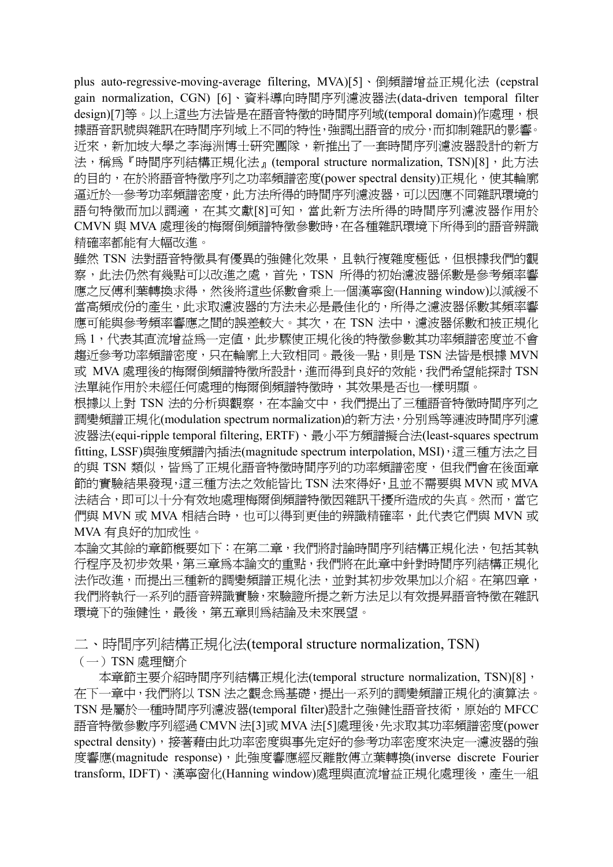plus auto-regressive-moving-average filtering, MVA)[5]、倒頻譜增益正規化法 (cepstral gain normalization, CGN) [6]、資料導向時間序列濾波器法(data-driven temporal filter design)[7]等。以上這些方法皆是在語音特徵的時間序列域(temporal domain)作處理,根 據語音訊號與雜訊在時間序列域上不同的特性,強調出語音的成分,而抑制雜訊的影響。 近來,新加坡大學之李海洲博士研究團隊,新推出了一套時間序列濾波器設計的新方 法,稱為『時間序列結構正規化法』(temporal structure normalization, TSN)[8],此方法 的目的,在於將語音特徵序列之功率頻譜密度(power spectral density)正規化,使其輪廓 逼近於一參考功率頻譜密度,此方法所得的時間序列濾波器,可以因應不同雜訊環境的 語句特徵而加以調適,在其文獻[8]可知,當此新方法所得的時間序列濾波器作用於 CMVN 與 MVA 處理後的梅爾倒頻譜特徵參數時,在各種雜訊環境下所得到的語音辨識 精確率都能有大幅改進。

雖然 TSN 法對語音特徵具有優異的強健化效果,且執行複雜度極低,但根據我們的觀 察,此法仍然有幾點可以改進之處,首先,TSN 所得的初始濾波器係數是參考頻率響 應之反傅利葉轉換求得,然後將這些係數會乘上一個漢寧窗(Hanning window)以減緩不 當高頻成份的產生,此求取濾波器的方法未必是最佳化的,所得之濾波器係數其頻率響 應可能與參考頻率響應之間的誤差較大。其次, 在 TSN 法中, 濾波器係數和被正規化 為 1,代表其直流增益為一定值,此步驟使正規化後的特徵參數其功率頻譜密度並不會 趨近參考功率頻譜密度,只在輪廓上大致相同。最後一點,則是 TSN 法皆是根據 MVN 或 MVA 處理後的梅爾倒頻譜特徵所設計,進而得到良好的效能,我們希望能探討 TSN 法單純作用於未經任何處理的梅爾倒頻譜特徵時,其效果是否也一樣明顯。

根據以上對 TSN 法的分析與觀察,在本論文中,我們提出了三種語音特徵時間序列之 調變頻譜正規化(modulation spectrum normalization)的新方法,分別為等漣波時間序列濾 波器法(equi-ripple temporal filtering, ERTF)、最小平方頻譜擬合法(least-squares spectrum fitting, LSSF)與強度頻譜內插法(magnitude spectrum interpolation, MSI),這三種方法之目 的與 TSN 類似,皆為了正規化語音特徵時間序列的功率頻譜密度,但我們會在後面童 節的實驗結果發現,這三種方法之效能皆比 TSN 法來得好,且並不需要與 MVN 或 MVA 法結合,即可以十分有效地處理梅爾倒頻譜特徵因雜訊干擾所造成的失真。然而,當它 們與 MVN 或 MVA 相結合時,也可以得到更佳的辨識精確率,此代表它們與 MVN 或 MVA 有良好的加成性。

本論文其餘的章節概要如下:在第二章,我們將討論時間序列結構正規化法,包括其執 行程序及初步效果,第三章為本論文的重點,我們將在此章中針對時間序列結構正規化 法作改進,而提出三種新的調變頻譜正規化法,並對其初步效果加以介紹。在第四章, 我們將執行一系列的語音辨識實驗,來驗證所提之新方法足以有效提昇語音特徵在雜訊 環境下的強健性,最後,第五章則為結論及未來展望。

二、時間序列結構正規化法(temporal structure normalization, TSN)

 $(-)$  TSN 處理簡介

本章節主要介紹時間序列結構正規化法(temporal structure normalization, TSN)[8], 在下一章中,我們將以 TSN 法之觀念為基礎,提出一系列的調變頻譜正規化的演算法。 TSN 是屬於一種時間序列濾波器(temporal filter)設計之強健性語音技術,原始的 MFCC 語音特徵參數序列經過 CMVN 法[3]或 MVA 法[5]處理後,先求取其功率頻譜密度(power spectral density),接著藉由此功率密度與事先定好的參考功率密度來決定一濾波器的強 度響應(magnitude response), 此強度響應經反離散傅立葉轉換(inverse discrete Fourier transform, IDFT)、漢寧窗化(Hanning window)處理與直流增益正規化處理後,產生一組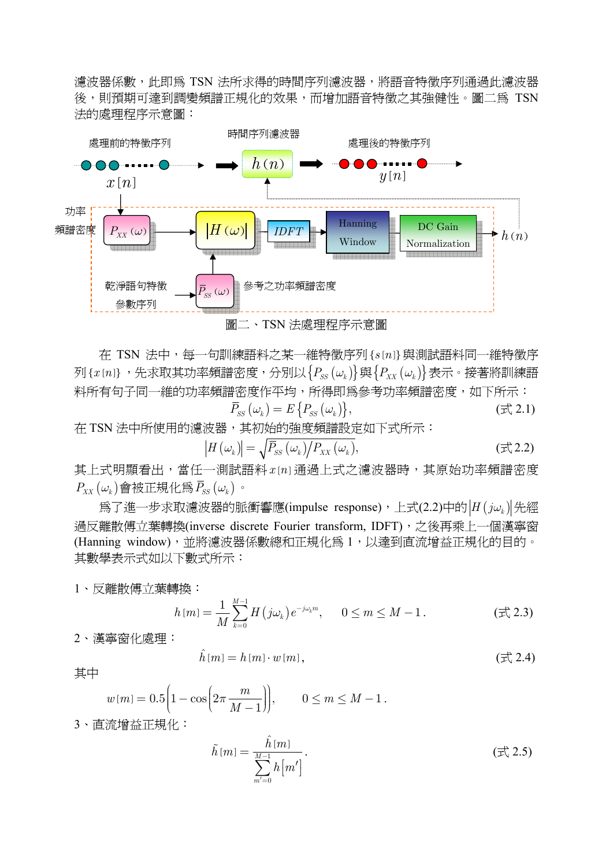濾波器係數,此即為 TSN 法所求得的時間序列濾波器,將語音特徵序列通過此濾波器 後,則預期可達到調變頻譜正規化的效果,而增加語音特徵之其強健性。圖二為 TSN 法的處理程序示意圖:



在 TSN 法中,每一句訓練語料之某一維特徵序列{s[n]}與測試語料同一維特徵序  $\mathcal{F}_{\mathcal{S}}\left\{ x\left[n\right]\right\}$ , 先求取其功率頻譜密度, 分別以 $\left\{ P_{\mathcal{S}}\left(\omega_{k}\right)\right\}$ 與 $\left\{ P_{\mathcal{X}X}\left(\omega_{k}\right)\right\}$ 表示。接著將訓練語 料所有句子同一維的功率頻譜密度作平均,所得即為參考功率頻譜密度,如下所示:

$$
\overline{P}_{SS}(\omega_k) = E\{P_{SS}(\omega_k)\},\tag{1.2.1}
$$

在 TSN 法中所使用的濾波器,其初始的強度頻譜設定如下式所示:

$$
\left|H\left(\omega_{k}\right)\right| = \sqrt{\bar{P}_{SS}\left(\omega_{k}\right)}/P_{XX}\left(\omega_{k}\right),\tag{1.2.2}
$$

其上式明顯看出,當任一測試語料 x [n] 通過上式之濾波器時,其原始功率頻譜密度  $P_{XX}(\omega_k)$ 會被正規化為 $\bar{P}_{SS}(\omega_k)$ 。

為了進一步求取濾波器的脈衝響應(impulse response),上式(2.2)中的  $|H(j\omega_k)|$ 先經 過反離散傅立葉轉換(inverse discrete Fourier transform, IDFT), 之後再乘上一個漢寧窗 (Hanning window),並將濾波器係數總和正規化為 1,以達到直流增益正規化的目的。 其數學表示式如以下數式所示:

1、反離散傅立葉轉換:

$$
h[m] = \frac{1}{M} \sum_{k=0}^{M-1} H(j\omega_k) e^{-j\omega_k m}, \qquad 0 \le m \le M-1.
$$
 (†2.3)

2、漢寧窗化處理:

$$
\hat{h}[m] = h[m] \cdot w[m],\tag{1.2.4}
$$

其中

$$
w[m] = 0.5\left(1 - \cos\left(2\pi \frac{m}{M-1}\right)\right), \qquad 0 \le m \le M-1.
$$

3、直流增益正規化:

$$
\tilde{h}[m] = \frac{\hat{h}[m]}{\sum_{m'=0}^{M-1} h[m']}.
$$
\n $(\pm 2.5)$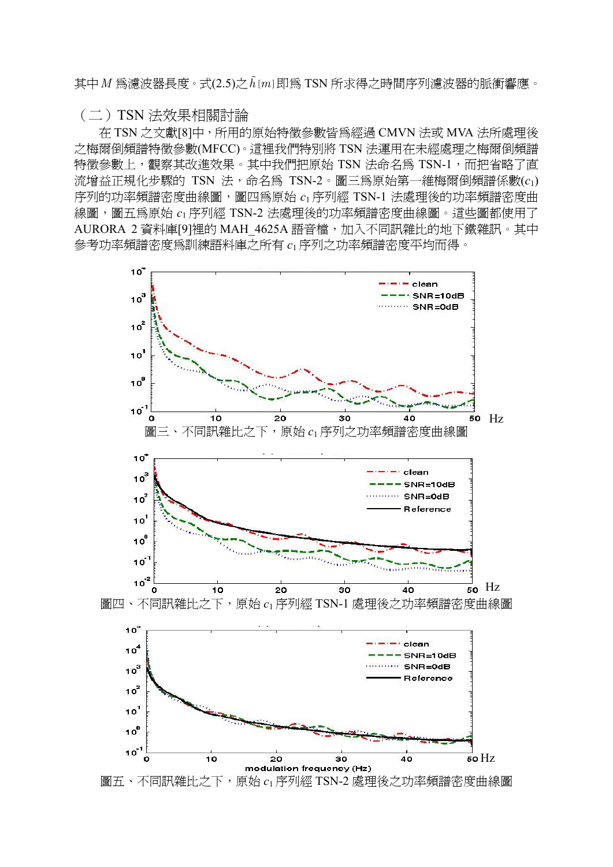$\pm$ 中 $M$  為濾波器長度。式 $(2.5)$ 之 $\tilde{h}$ [ $m$ ] 即為 TSN 所求得之時間序列濾波器的脈衝響應。

#### (二)TSN 法效果相關討論

 在 TSN 之文獻[8]中,所用的原始特徵參數皆為經過 CMVN 法或 MVA 法所處理後 之梅爾倒頻譜特徵參數(MFCC)。這裡我們特別將 TSN 法運用在未經處理之梅爾倒頻譜 特徵參數上,觀察其改進效果。其中我們把原始 TSN 法命名為 TSN-1,而把省略了直 流增益正規化步驟的 TSN 法,命名為 TSN-2。圖三為原始第一維梅爾倒頻譜係數(c1) 序列的功率頻譜密度曲線圖,圖四為原始 *c*<sup>1</sup> 序列經 TSN-1 法處理後的功率頻譜密度曲 線圖,圖五為原始  $c_1$  序列經 TSN-2 法處理後的功率頻譜密度曲線圖。這些圖都使用了 AURORA 2 資料庫[9]裡的 MAH\_4625A 語音檔,加入不同訊雜比的地下鐵雜訊。其中 參考功率頻譜密度為訓練語料庫之所有 *c*<sup>1</sup> 序列之功率頻譜密度平均而得。

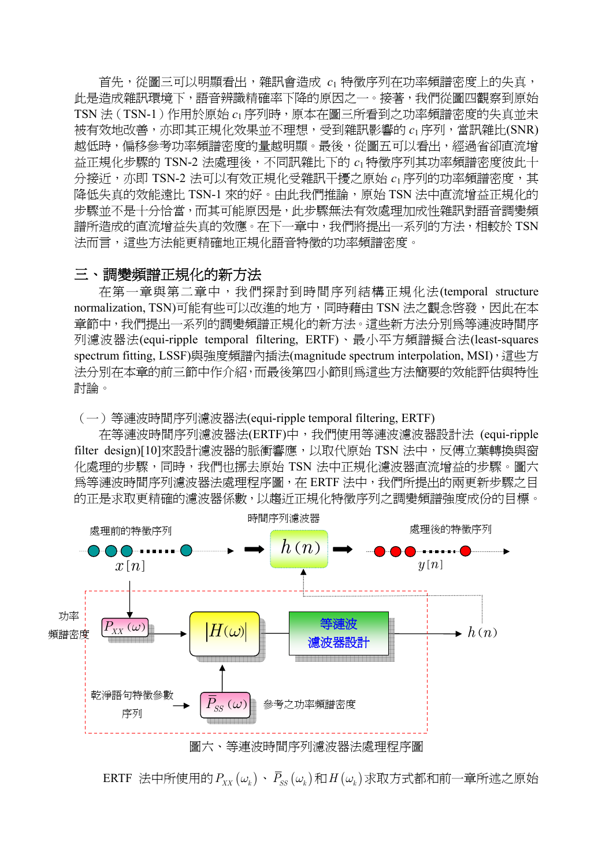首先,從圖三可以明顯看出,雜訊會造成 c1 特徵序列在功率頻譜密度上的失真, 此是造成雜訊環境下,語音辨識精確率下降的原因之一。接著,我們從圖四觀察到原始 TSN 法(TSN-1)作用於原始  $c_1$  序列時,原本在圖三所看到之功率頻譜密度的失真並未 被有效地改善,亦即其正規化效果並不理想,受到雜訊影響的 *c*<sup>1</sup> 序列,當訊雜比(SNR) 越低時,偏移參考功率頻譜密度的量越明顯。最後,從圖五可以看出,經過省卻直流增 益正規化步驟的 TSN-2 法處理後,不同訊雜比下的  $c_1$  特徵序列其功率頻譜密度彼此十 分接近,亦即 TSN-2 法可以有效正規化受雜訊干擾之原始  $c_1$  序列的功率頻譜密度, 其 降低失真的效能遠比 TSN-1 來的好。由此我們推論,原始 TSN 法中直流增益正規化的 步驟並不是十分恰當,而其可能原因是,此步驟無法有效處理加成性雜訊對語音調變頻 譜所造成的直流增益失真的效應。在下一章中,我們將提出一系列的方法,相較於 TSN 法而言,這些方法能更精確地正規化語音特徵的功率頻譜密度。

### 三、調變頻譜正規化的新方法

 在第一章與第二章中,我們探討到時間序列結構正規化法(temporal structure normalization, TSN)可能有些可以改進的地方,同時藉由 TSN 法之觀念啓發, 因此在本 章節中,我們提出一系列的調變頻譜正規化的新方法。這些新方法分別為等漣波時間序 列濾波器法(equi-ripple temporal filtering, ERTF)、最小平方頻譜擬合法(least-squares spectrum fitting, LSSF)與強度頻譜內插法(magnitude spectrum interpolation, MSI), 這些方 法分別在本章的前三節中作介紹,而最後第四小節則為這些方法簡要的效能評估與特性 討論。

(一)等漣波時間序列濾波器法(equi-ripple temporal filtering, ERTF)

 在等漣波時間序列濾波器法(ERTF)中,我們使用等漣波濾波器設計法 (equi-ripple filter design)[10]來設計濾波器的脈衝響應,以取代原始 TSN 法中,反傅立葉轉換與窗 化處理的步驟,同時,我們也挪去原始 TSN 法中正規化濾波器直流增益的步驟。圖六 為等漣波時間序列濾波器法處理程序圖,在 ERTF 法中,我們所提出的兩更新步驟之目 的正是求取更精確的濾波器係數,以趨近正規化特徵序列之調變頻譜強度成份的目標。



ERTF 法中所使用的 $P_{xx}(\omega_i) \cdot \bar{P}_{ss}(\omega_i)$ 和 $H(\omega_i)$ 求取方式都和前一章所述之原始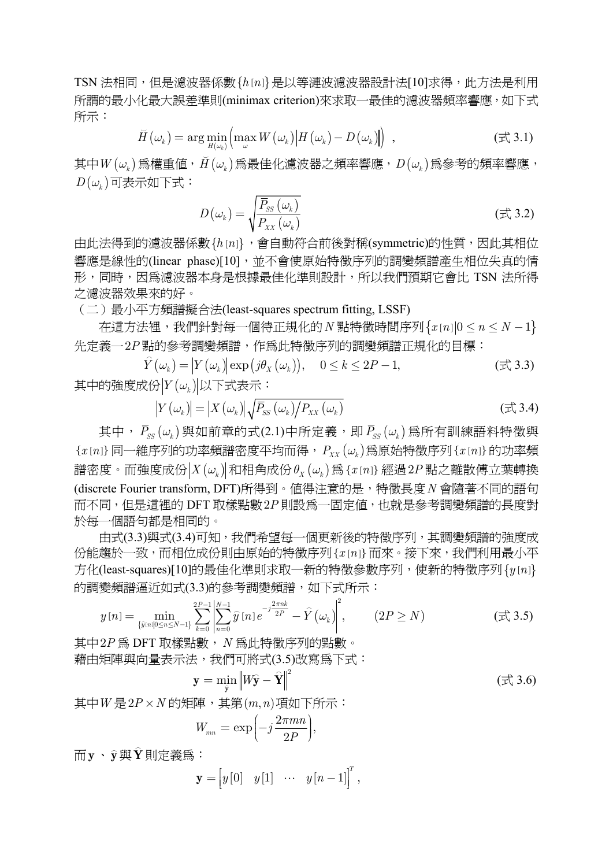TSN 法相同,但是濾波器係數 {h [n] } 是以等漣波濾波器設計法[10]求得,此方法是利用 所謂的最小化最大誤差準則(minimax criterion)來求取一最佳的濾波器頻率響應,如下式 所示:

$$
\widetilde{H}(\omega_k) = \arg\min_{H(\omega_k)} \left( \max_{\omega} W(\omega_k) \middle| H(\omega_k) - D(\omega_k) \right) , \qquad (\exists \xi, 3.1)
$$

 $\mathcal{F}(\omega_k)$ 爲權重値, $\breve{H}(\omega_k)$ 爲最佳化濾波器之頻率響應, $D\big(\omega_k\big)$ 爲參考的頻率響應,  $D(\omega_k)$ 可表示如下式:

$$
D(\omega_k) = \sqrt{\frac{\overline{P}_{SS}(\omega_k)}{P_{XX}(\omega_k)}}
$$
(\overrightarrow{x}, 3.2)

由此法得到的濾波器係數{h[n]},會自動符合前後對稱(symmetric)的性質,因此其相位 響應是線性的(linear phase)[10],並不會使原始特徵序列的調變頻譜產生相位失真的情 形,同時,因為濾波器本身是根據最佳化準則設計,所以我們預期它會比 TSN 法所得 之濾波器效果來的好。

(二)最小平方頻譜擬合法(least-squares spectrum fitting, LSSF)

 $\overline{A}$ 這方法裡,我們針對每一個待正規化的 *N* 點特徵時間序列 $\{x[n]|0 \le n \le N-1\}$ 先定義一2*P* 點的參考調變頻譜,作為此特徵序列的調變頻譜正規化的目標:

 $\hat{Y}(\omega_k) = |Y(\omega_k)| \exp(j\theta_X(\omega_k)), \quad 0 \le k \le 2P-1,$ (  $\pm \hat{X}$  3.3) 其中的強度成份 $|Y(\omega_k)|$ 以下式表示:

$$
\left| Y \left( \omega_{k} \right) \right| = \left| X \left( \omega_{k} \right) \right| \sqrt{\bar{P}_{SS} \left( \omega_{k} \right) / P_{XX} \left( \omega_{k} \right)} \tag{ \vec{\pm}^{\text{A}}_{\text{A}} \text{A} \text{A} \text{)}
$$

 $\bar{A}$  *F<sub>SS</sub>* ( $\omega_k$ ) 與如前章的式(2.1)中所定義, 即 $\bar{P}_{SS}(\omega_k)$  為所有訓練語料特徵與  ${x[n]}$ 同一維序列的功率頻譜密度平均而得, $P_{xx}(\omega_k)$ 爲原始特徵序列 ${x[n]}$ 的功率頻  $\mathbb{R}^n$ 密度。而強度成份 |  $X(\omega_k)$  和相角成份  $\theta_X(\omega_k)$  爲 { $x[n]$ } 經過  $2P$  點之離散傅立葉轉換 (discrete Fourier transform, DFT)所得到。值得注意的是,特徵長度*N* 會隨著不同的語句 而不同,但是這裡的 DFT 取樣點數2*P* 則設為一固定值,也就是參考調變頻譜的長度對 於每一個語句都是相同的。

 由式(3.3)與式(3.4)可知,我們希望每一個更新後的特徵序列,其調變頻譜的強度成 份能趨於一致,而相位成份則由原始的特徵序列{ $x[n]$ 而來。接下來,我們利用最小平 方化(least-squares)[10]的最佳化準則求取一新的特徵參數序列,使新的特徵序列 $\{y[n]\}$ 的調變頻譜逼近如式(3.3)的參考調變頻譜,如下式所示:

$$
y[n] = \min_{\{\hat{y}[n]\} \subseteq n \le N-1\}} \sum_{k=0}^{2P-1} \left| \sum_{n=0}^{N-1} \hat{y}[n] e^{-j\frac{2\pi nk}{2P}} - \hat{Y}(\omega_k) \right|^2, \qquad (2P \ge N) \tag{7.3.5}
$$

其中2P為 DFT 取樣點數, N 為此特徵序列的點數。 藉由矩陣與向量表示法,我們可將式(3.5)改寫為下式:

$$
\mathbf{y} = \min_{\hat{\mathbf{y}}} \left\| W\hat{\mathbf{y}} - \hat{\mathbf{Y}} \right\|^2
$$
 ( \n $\vec{\mathbf{x}} \cdot \mathbf{3.6}$ )

其中*W* 是2P × *N* 的矩陣, 其第(m,n) 項如下所示:

$$
W_{mn} = \exp\left(-j\frac{2\pi mn}{2P}\right),\,
$$

而**y**、**y** <sup>與</sup>**<sup>Y</sup>** 則定義為:

$$
\mathbf{y} = \begin{bmatrix} y[0] & y[1] & \cdots & y[n-1] \end{bmatrix}^T,
$$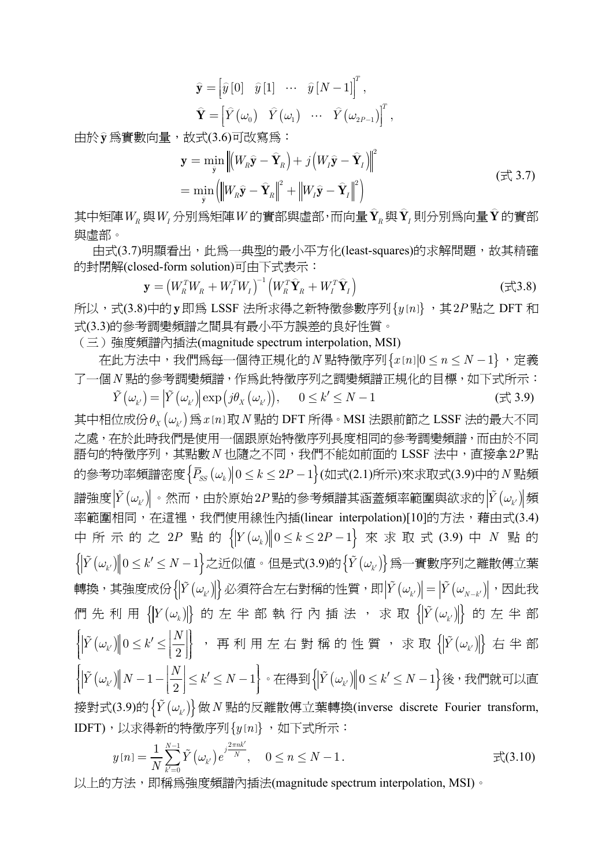$$
\widehat{\mathbf{y}} = \begin{bmatrix} \widehat{y} \begin{bmatrix} 0 \end{bmatrix} & \widehat{y} \begin{bmatrix} 1 \end{bmatrix} & \cdots & \widehat{y} \begin{bmatrix} N-1 \end{bmatrix}^T, \\ \widehat{\mathbf{Y}} = \begin{bmatrix} \widehat{Y}(\omega_0) & \widehat{Y}(\omega_1) & \cdots & \widehat{Y}(\omega_{2P-1}) \end{bmatrix}^T,
$$

——<br>由於**y** 爲實數向量,故式(3.6)可改寫爲:

$$
\mathbf{y} = \min_{\hat{\mathbf{y}}} \left\| \left( W_R \hat{\mathbf{y}} - \hat{\mathbf{Y}}_R \right) + j \left( W_I \hat{\mathbf{y}} - \hat{\mathbf{Y}}_I \right) \right\|^2
$$
\n
$$
= \min_{\hat{\mathbf{y}}} \left( \left\| W_R \hat{\mathbf{y}} - \hat{\mathbf{Y}}_R \right\|^2 + \left\| W_I \hat{\mathbf{y}} - \hat{\mathbf{Y}}_I \right\|^2 \right)
$$
\n
$$
( \vec{\pm} \langle 3.7 \rangle
$$

其中矩陣 $W_R$ 與 $W_I$ 分別爲矩陣 $W$ 的實部與虛部,而向量 $\hat{\textbf{Y}}_R$ 與 $\hat{\textbf{Y}}_I$ 則分別爲向量 $\hat{\textbf{Y}}$ 的實部 與虛部。

由式(3.7)明顯看出,此為一典型的最小平方化(least-squares)的求解問題,故其精確 的封閉解(closed-form solution)可由下式表示:

$$
\mathbf{y} = \left(W_R^T W_R + W_I^T W_I\right)^{-1} \left(W_R^T \hat{\mathbf{Y}}_R + W_I^T \hat{\mathbf{Y}}_I\right)
$$
(\vec{x}, 3.8)

所以,式(3.8)中的 **y** 即為 LSSF 法所求得之新特徵參數序列 {  $y[n]$  , 其 2P 點之 DFT 和 式(3.3)的參考調變頻譜之間具有最小平方誤差的良好性質。

(三)強度頻譜內插法(magnitude spectrum interpolation, MSI)

在此方法中,我們為每一個待正規化的 *N* 點特徵序列 $\{x[n]\}\circ n \leq N-1\}$ , 定義 了一個*N* 點的參考調變頻譜,作為此特徵序列之調變頻譜正規化的目標,如下式所示:  $\tilde{Y}(\omega_{k'}) = |\tilde{Y}(\omega_{k'})| \exp(j\theta_X(\omega_{k'})), \quad 0 \le k' \le N-1$ (  $\pm 3.9$ )

其中相位成份  $\theta_X(\omega_\nu)$  爲  $x[n]$ 取 *N* 點的 DFT 所得。MSI 法跟前節之 LSSF 法的最大不同 之處,在於此時我們是使用一個跟原始特徵序列長度相同的參考調變頻譜,而由於不同 語句的特徵序列,其點數*N* 也隨之不同,我們不能如前面的 LSSF 法中,直接拿2*P* 點 的參考功率頻譜密度 ${P_{ss}(\omega_k)}$  0 ≤ k ≤ 2P − 1 $}$ (如式(2.1)所示)來求取式(3.9)中的 *N* 點頻  $\mathbb{E} \left[ \tilde{Y}(\omega_{k'}) \right] \cdot \mathbb{E} \left[ \mathbb{E} \left[ \mathbb{E} \left[ \mathbb{E} \left[ \mathbb{E} \left[ \mathbb{E} \left[ \mathbb{E} \left[ \mathbb{E} \left[ \mathbb{E} \left[ \mathbb{E} \left[ \mathbb{E} \left[ \mathbb{E} \left[ \mathbb{E} \left[ \mathbb{E} \left[ \mathbb{E} \left[ \mathbb{E} \left[ \mathbb{E} \left[ \mathbb{E} \left[ \mathbb{E} \left[ \mathbb{E} \left[ \mathbb{E} \left[ \mathbb{E$ 率範圍相同,在這裡,我們使用線性內插(linear interpolation)[10]的方法,藉由式(3.4) 中所示的之 2*P* 點的  $\{Y(\omega_k)\|0 \le k \le 2P-1\}$  來求取式 (3.9) 中 *N* 點的  $\left\{ \left| \tilde{Y}(\omega_{k'}) \right\| 0 \leq k' \leq N-1 \right\}$ 之近似値。但是式(3.9)的 $\left\{ \tilde{Y}(\omega_{k'}) \right\}$ 爲一實數序列之離散傅立葉 轉換,其強度成份 $\left\{\!\left|\v{Y}(\omega_{\scriptscriptstyle{k'}})\!\right|\right\}$ 必須符合左右對稱的性質,即 $\left|\v{Y}(\omega_{\scriptscriptstyle{k'}})\!\right| = \left|\v{Y}(\omega_{\scriptscriptstyle{N-k'}})\!\right|$ ,因此我 們先利用 {*<sup>Y</sup>* (*ω<sup>k</sup>* )} 的左半部執行內插法,求取 {*<sup>Y</sup>* (*ωk*′)} 的左半部  $\left\{\left\|\tilde{Y}\left(\omega_{k'}\right)\right\|0\leq k'\leq\left\lfloor\frac{N}{2}\right\rfloor\right\}$  $\left\| \begin{array}{cc} \left\| \begin{array}{cc} \left\| \left( \begin{array}{c} \omega_{k'} \end{array} \right) \right\| & \omega \leq \kappa \end{array} \right\| & \leq \left\| \begin{array}{c} 2 \end{array} \right\| \end{array} \right\|$  $\tilde{Y}(\omega_{k'}) \big\| 0 \leq k' \leq \big\| \frac{N}{2} \big\|$  , 再 利 用 左 右 對 稱 的 性 質 , 求 取  $\big\{ \big| \tilde{Y} \big( \omega_{k'} \big) \big| \big\}$  右 半 部  $\left\{\left|\tilde Y\left(\omega_{\text{\tiny $k'}}\right)\right\|N-1-\left\lfloor \frac{N}{2}\right\rfloor \leq k' \leq N-1\right\}$  $\left[\begin{array}{ccc} \left| \begin{array}{ccc} 1 & \left( \begin{array}{cc} \alpha_{k'} \end{array} \right) \end{array} \right] \end{array} \begin{array}{c} \begin{array}{c} \alpha & \alpha \\ \alpha & \beta \end{array} \end{array} \begin{array}{c} \begin{array}{c} \alpha & \alpha \\ \alpha & \beta \end{array} \end{array} \begin{array}{c} \begin{array}{c} \alpha \\ \beta \end{array} \end{array} \begin{array}{c} \begin{array}{c} \alpha \\ \beta \end{array} \end{array} \begin{array}{c} \begin{array}{c} \alpha \\ \beta \end{array}$  $\tilde{Y}\left(\omega_{k'}\right)\hspace{-0.08cm}\left\Vert N-1\right.\hspace{-0.08cm}-\hspace{-0.08cm}\left|\frac{N}{2}\right|\hspace{-0.08cm}\leq\hspace{-0.08cm} k'\hspace{-0.08cm}\leq N-1\hspace{-0.08cm}\right\Vert$  ∘ 在得到 $\left\{\hspace{-0.08cm}\left|\tilde{Y}\left(\omega_{k'}\right)\right|\hspace{-0.08cm}\right\vert\hspace{-0.08cm}0\leq k'\hspace{-0.08cm}\leq N-1\hspace{-0.08cm}\right\}\hspace{-0.08cm}\left\{\$ 接對式(3.9)的{*<sup>Y</sup>* (*ωk*′)} <sup>做</sup>*<sup>N</sup>* 點的反離散傅立葉轉換(inverse discrete Fourier transform, IDFT),以求得新的特徵序列 {  $y[n]$  , 如下式所示:

$$
y[n] = \frac{1}{N} \sum_{k'=0}^{N-1} \tilde{Y}(\omega_{k'}) e^{j\frac{2\pi nk'}{N}}, \quad 0 \le n \le N-1.
$$

以上的方法,即稱為強度頻譜內插法(magnitude spectrum interpolation, MSI)。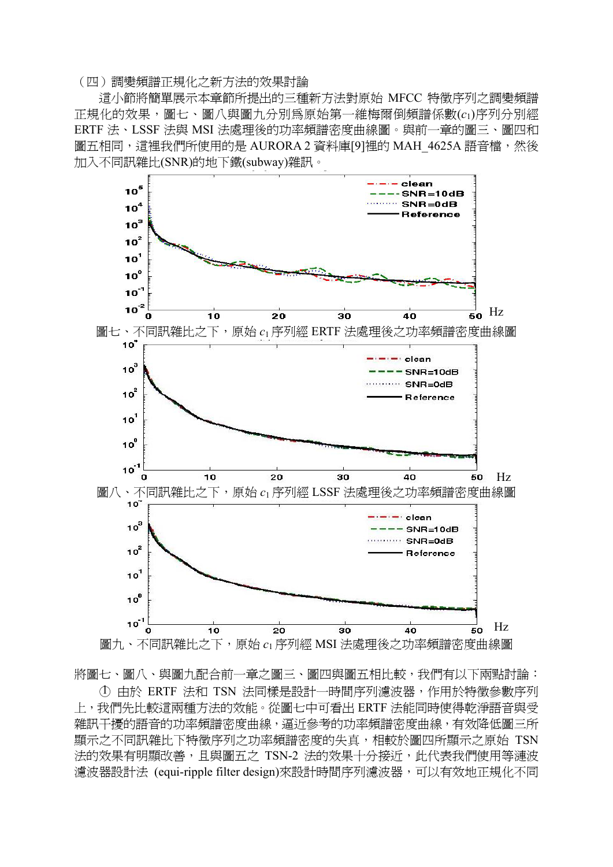#### (四)調變頻譜正規化之新方法的效果討論

這小節將簡單展示本章節所提出的三種新方法對原始 MFCC 特徵序列之調變頻譜 正規化的效果,圖七、圖八與圖九分別為原始第一維梅爾倒頻譜係數(*c*1)序列分別經 ERTF 法、LSSF 法與 MSI 法處理後的功率頻譜密度曲線圖。與前一章的圖三、圖四和 圖五相同,這裡我們所使用的是 AURORA 2 資料庫[9]裡的 MAH 4625A 語音檔,然後 加入不同訊雜比(SNR)的地下鐵(subway)雜訊。



將圖七、圖八、與圖九配合前一章之圖三、圖四與圖五相比較,我們有以下兩點討論:

○1 由於 ERTF 法和 TSN 法同樣是設計一時間序列濾波器,作用於特徵參數序列 上,我們先比較這兩種方法的效能。從圖七中可看出 ERTF 法能同時使得乾淨語音與受 雜訊干擾的語音的功率頻譜密度曲線,逼近參考的功率頻譜密度曲線,有效降低圖三所 顯示之不同訊雜比下特徵序列之功率頻譜密度的失真,相較於圖四所顯示之原始 TSN 法的效果有明顯改善,且與圖五之 TSN-2 法的效果十分接近,此代表我們使用等漣波 濾波器設計法 (equi-ripple filter design)來設計時間序列濾波器,可以有效地正規化不同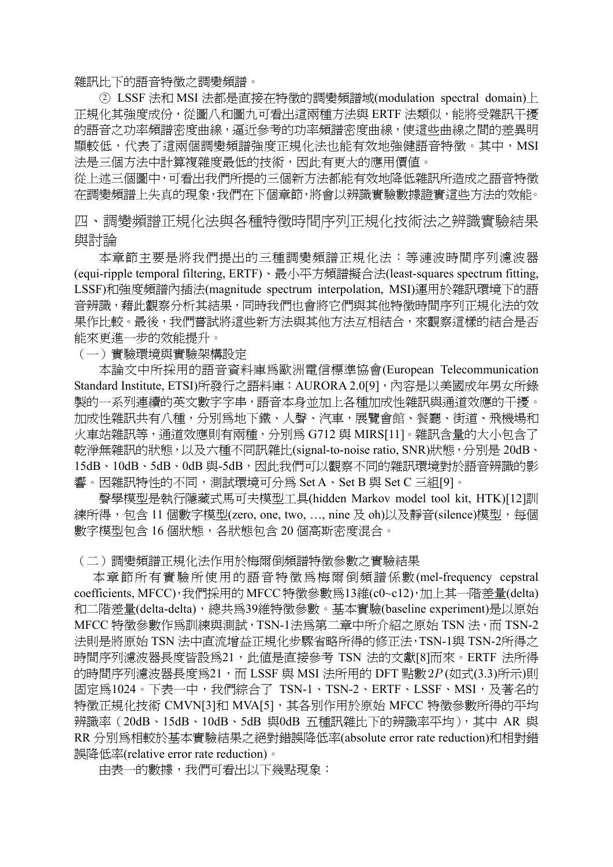雜訊比下的語音特徵之調變頻譜。

○2 LSSF 法和 MSI 法都是直接在特徵的調變頻譜域(modulation spectral domain)上 正規化其強度成份,從圖八和圖九可看出這兩種方法與 ERTF 法類似,能將受雜訊干擾 的語音之功率頻譜密度曲線,逼近參考的功率頻譜密度曲線,使這些曲線之間的差異明 顯較低,代表了這兩個調變頻譜強度正規化法也能有效地強健語音特徵。其中,MSI 法是三個方法中計算複雜度最低的技術,因此有更大的應用價值。

從上述三個圖中,可看出我們所提的三個新方法都能有效地降低雜訊所造成之語音特徵 在調變頻譜上失真的現象,我們在下個章節,將會以辨識實驗數據證實這些方法的效能。

四、調變頻譜正規化法與各種特徵時間序列正規化技術法之辨識實驗結果 與討論

本章節主要是將我們提出的三種調變頻譜正規化法: 等漣波時間序列濾波器 (equi-ripple temporal filtering, ERTF)、最小平方頻譜擬合法(least-squares spectrum fitting, LSSF)和強度頻譜內插法(magnitude spectrum interpolation, MSI)運用於雜訊環境下的語 音辨識,藉此觀察分析其結果,同時我們也會將它們與其他特徵時間序列正規化法的效 果作比較。最後,我們嘗試將這些新方法與其他方法互相結合,來觀察這樣的結合是否 能來更進一步的效能提升。

(一)實驗環境與實驗架構設定

 本論文中所採用的語音資料庫為歐洲電信標準協會(European Telecommunication Standard Institute, ETSI)所發行之語料庫: AURORA 2.0[9], 內容是以美國成年男女所錄 製的一系列連續的英文數字字串,語音本身並加上各種加成性雜訊與通道效應的干擾。 加成性雜訊共有八種,分別為地下鐵、人聲、汽車,展覽會館、餐廳、街道、飛機場和 火車站雜訊等,通道效應則有兩種,分別為 G712 與 MIRS[11]。雜訊含量的大小包含了 乾淨無雜訊的狀態,以及六種不同訊雜比(signal-to-noise ratio, SNR)狀態,分別是 20dB、 15dB、10dB、5dB、0dB 與-5dB,因此我們可以觀察不同的雜訊環境對於語音辨識的影 響。因雜訊特性的不同,測試環境可分為 Set A、Set B 與 Set C 三組[9]。

 聲學模型是執行隱藏式馬可夫模型工具(hidden Markov model tool kit, HTK)[12]訓 練所得, 包含 11 個數字模型(zero, one, two, ..., nine 及 oh)以及靜音(silence)模型, 每個 數字模型包含 16 個狀態, 各狀態包含 20 個高斯密度混合。

(二)調變頻譜正規化法作用於梅爾倒頻譜特徵參數之實驗結果

 本章節所有實驗所使用的語音特徵為梅爾倒頻譜係數(mel-frequency cepstral coefficients, MFCC),我們採用的 MFCC 特徵參數為13維(c0~c12),加上其一階差量(delta) 和二階差量(delta-delta),總共為39維特徵參數。基本實驗(baseline experiment)是以原始 MFCC 特徵參數作為訓練與測試, TSN-1法為第二章中所介紹之原始 TSN 法, 而 TSN-2 法則是將原始 TSN 法中直流增益正規化步驟省略所得的修正法,TSN-1與 TSN-2所得之 時間序列濾波器長度皆設爲21,此値是直接參考 TSN 法的文獻[8]而來。ERTF 法所得 的時間序列濾波器長度為21,而 LSSF 與 MSI 法所用的 DFT 點數2*P* (如式(3.3)所示)則 固定為1024。下表一中,我們綜合了 TSN-1、TSN-2、ERTF、LSSF、MSI,及著名的 特徵正規化技術 CMVN[3]和 MVA[5],其各別作用於原始 MFCC 特徵參數所得的平均 辨識率(20dB、15dB、10dB、5dB 與0dB 五種訊雜比下的辨識率平均),其中 AR 與 RR 分別為相較於基本實驗結果之絕對錯誤降低率(absolute error rate reduction)和相對錯 誤降低率(relative error rate reduction)。

由表一的數據,我們可看出以下幾點現象: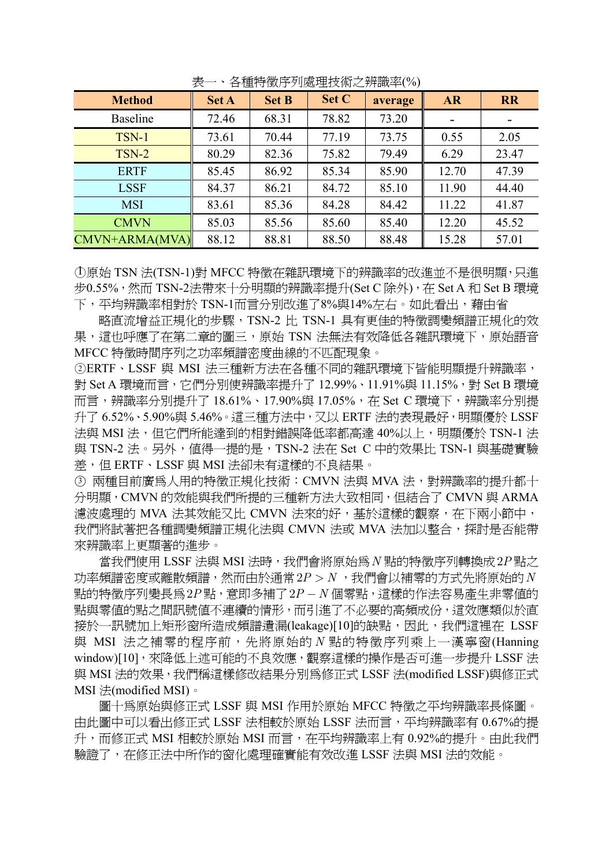| <b>Method</b>   | ~<br><b>Set A</b> | <b>Set B</b> | Set C | average | <b>AR</b> | <b>RR</b> |
|-----------------|-------------------|--------------|-------|---------|-----------|-----------|
| <b>Baseline</b> | 72.46             | 68.31        | 78.82 | 73.20   |           |           |
| TSN-1           | 73.61             | 70.44        | 77.19 | 73.75   | 0.55      | 2.05      |
| TSN-2           | 80.29             | 82.36        | 75.82 | 79.49   | 6.29      | 23.47     |
| <b>ERTF</b>     | 85.45             | 86.92        | 85.34 | 85.90   | 12.70     | 47.39     |
| <b>LSSF</b>     | 84.37             | 86.21        | 84.72 | 85.10   | 11.90     | 44.40     |
| <b>MSI</b>      | 83.61             | 85.36        | 84.28 | 84.42   | 11.22     | 41.87     |
| <b>CMVN</b>     | 85.03             | 85.56        | 85.60 | 85.40   | 12.20     | 45.52     |
| CMVN+ARMA(MVA)  | 88.12             | 88.81        | 88.50 | 88.48   | 15.28     | 57.01     |

表一、各種特徵序列處理技術之辨識率(%)

○1 原始 TSN 法(TSN-1)對 MFCC 特徵在雜訊環境下的辨識率的改進並不是很明顯,只進 步0.55%,然而 TSN-2法帶來十分明顯的辨識率提升(Set C 除外),在 Set A 和 Set B 環境 下,平均辨識率相對於 TSN-1而言分別改進了8%與14%左右。如此看出,藉由省

略直流增益正規化的步驟,TSN-2 比 TSN-1 具有更佳的特徵調變頻譜正規化的效 果,這也呼應了在第二章的圖三,原始 TSN 法無法有效降低各雜訊環境下,原始語音 MFCC 特徵時間序列之功率頻譜密度曲線的不匹配現象。

○<sup>2</sup> ERTF、LSSF 與 MSI 法三種新方法在各種不同的雜訊環境下皆能明顯提升辨識率, 對 Set A 環境而言,它們分別使辨識率提升了 12.99%、11.91%與 11.15%,對 Set B 環境 而言,辨識率分別提升了 18.61%、17.90%與 17.05%,在 Set C 環境下,辨識率分別提 升了 6.52%、5.90%與 5.46%。這三種方法中,又以 ERTF 法的表現最好,明顯優於 LSSF 法與 MSI 法,但它們所能達到的相對錯誤降低率都高達 40%以上,明顯優於 TSN-1 法 與 TSN-2 法。另外,值得一提的是,TSN-2 法在 Set C 中的效果比 TSN-1 與基礎實驗 差,但 ERTF、LSSF 與 MSI 法卻未有這樣的不良結果。

○<sup>3</sup> 兩種目前廣為人用的特徵正規化技術:CMVN 法與 MVA 法,對辨識率的提升都十 分明顯,CMVN 的效能與我們所提的三種新方法大致相同,但結合了 CMVN 與 ARMA 濾波處理的 MVA 法其效能又比 CMVN 法來的好,基於這樣的觀察,在下兩小節中, 我們將試著把各種調變頻譜正規化法與 CMVN 法或 MVA 法加以整合,探討是否能帶 來辨識率上更顯著的進步。

當我們使用 LSSF 法與 MSI 法時,我們會將原始為 N 點的特徵序列轉換成2P 點之 功率頻譜密度或離散頻譜,然而由於通常2*P N* > ,我們會以補零的方式先將原始的*N* 點的特徵序列變長為2P點, 意即多補了2P-N個零點, 這樣的作法容易產生非零值的 點與零值的點之間訊號值不連續的情形,而引進了不必要的高頻成份,這效應類似於直 接於一訊號加上矩形窗所造成頻譜遺漏(leakage)[10]的缺點,因此,我們這裡在 LSSF 與 MSI 法之補零的程序前,先將原始的 *N* 點的特徵序列乘上一漢寧窗(Hanning window)[10],來降低上述可能的不良效應,觀察這樣的操作是否可進一步提升 LSSF 法 與 MSI 法的效果,我們稱這樣修改結果分別為修正式 LSSF 法(modified LSSF)與修正式 MSI 法(modified MSI)。

圖十為原始與修正式 LSSF 與 MSI 作用於原始 MFCC 特徵之平均辨識率長條圖。 由此圖中可以看出修正式 LSSF 法相較於原始 LSSF 法而言, 平均辨識率有 0.67%的提 升,而修正式 MSI 相較於原始 MSI 而言,在平均辨識率上有 0.92%的提升。由此我們 驗證了,在修正法中所作的窗化處理確實能有效改進 LSSF 法與 MSI 法的效能。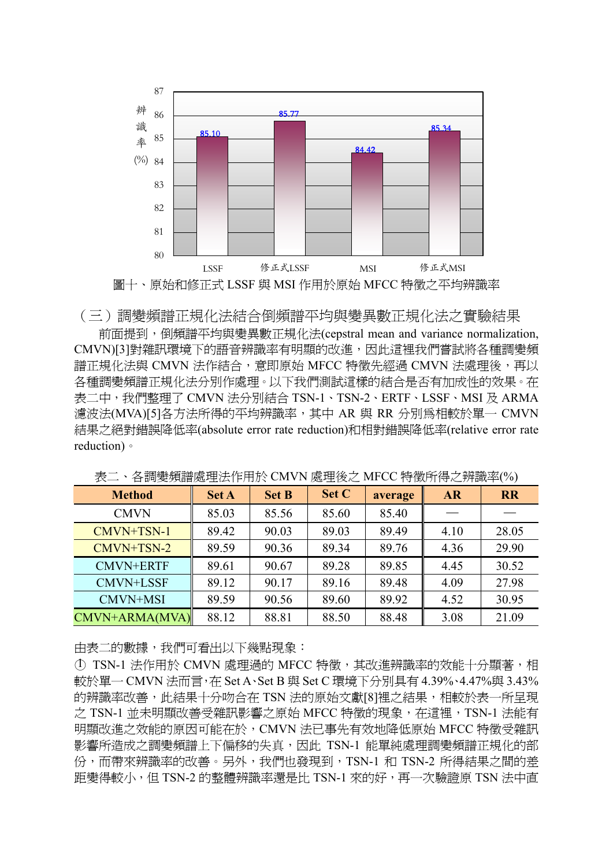

 前面提到,倒頻譜平均與變異數正規化法(cepstral mean and variance normalization, CMVN)[3]對雜訊環境下的語音辨識率有明顯的改進,因此這裡我們嘗試將各種調變頻 譜正規化法與 CMVN 法作結合,意即原始 MFCC 特徵先經過 CMVN 法處理後,再以 各種調變頻譜正規化法分別作處理。以下我們測試這樣的結合是否有加成性的效果。在 表二中,我們整理了 CMVN 法分別結合 TSN-1、TSN-2、ERTF、LSSF、MSI 及 ARMA 濾波法(MVA)[5]各方法所得的平均辨識率,其中 AR 與 RR 分別為相較於單一 CMVN 結果之絕對錯誤降低率(absolute error rate reduction)和相對錯誤降低率(relative error rate reduction)。

| <b>Method</b>    | <b>Set A</b> | <b>Set B</b> | Set C | average | <b>AR</b> | <b>RR</b> |
|------------------|--------------|--------------|-------|---------|-----------|-----------|
| <b>CMVN</b>      | 85.03        | 85.56        | 85.60 | 85.40   |           |           |
| CMVN+TSN-1       | 89.42        | 90.03        | 89.03 | 89.49   | 4.10      | 28.05     |
| CMVN+TSN-2       | 89.59        | 90.36        | 89.34 | 89.76   | 4.36      | 29.90     |
| <b>CMVN+ERTF</b> | 89.61        | 90.67        | 89.28 | 89.85   | 4.45      | 30.52     |
| <b>CMVN+LSSF</b> | 89.12        | 90.17        | 89.16 | 89.48   | 4.09      | 27.98     |
| CMVN+MSI         | 89.59        | 90.56        | 89.60 | 89.92   | 4.52      | 30.95     |
| CMVN+ARMA(MVA)   | 88.12        | 88.81        | 88.50 | 88.48   | 3.08      | 21.09     |

表二、各調變頻譜處理法作用於 CMVN 處理後之 MFCC 特徵所得之辨識率(%)

由表二的數據,我們可看出以下幾點現象:

① TSN-1 法作用於 CMVN 處理過的 MFCC 特徵,其改進辨識率的效能十分顯著,相 較於單一 CMVN 法而言,在 Set A、Set B 與 Set C 環境下分別具有 4.39%、4.47%與 3.43% 的辨識率改善,此結果十分吻合在 TSN 法的原始文獻[8]裡之結果,相較於表一所呈現 之 TSN-1 並未明顯改善受雜訊影響之原始 MFCC 特徵的現象, 在這裡, TSN-1 法能有 明顯改進之效能的原因可能在於,CMVN 法已事先有效地降低原始 MFCC 特徵受雜訊 影響所造成之調變頻譜上下偏移的失真,因此 TSN-1 能單純處理調變頻譜正規化的部 份,而帶來辨識率的改善。另外,我們也發現到,TSN-1 和 TSN-2 所得結果之間的差 距變得較小,但 TSN-2 的整體辨識率還是比 TSN-1 來的好,再一次驗證原 TSN 法中直

<sup>(</sup>三)調變頻譜正規化法結合倒頻譜平均與變異數正規化法之實驗結果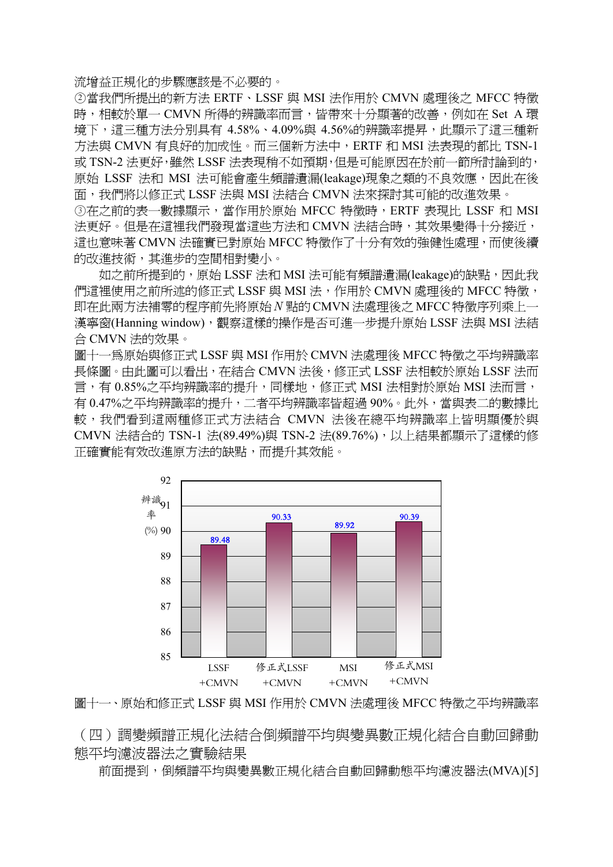流增益正規化的步驟應該是不必要的。

○<sup>2</sup> 當我們所提出的新方法 ERTF、LSSF 與 MSI 法作用於 CMVN 處理後之 MFCC 特徵 時,相較於單一 CMVN 所得的辨識率而言,皆帶來十分顯著的改善,例如在 Set A 環 境下,這三種方法分別具有 4.58%、4.09%與 4.56%的辨識率提昇,此顯示了這三種新 方法與 CMVN 有良好的加成性。而三個新方法中,ERTF 和 MSI 法表現的都比 TSN-1 或 TSN-2 法更好,雖然 LSSF 法表現稍不如預期,但是可能原因在於前一節所討論到的, 原始 LSSF 法和 MSI 法可能會產牛頻譜潰漏(leakage)現象之類的不良效應,因此在後 面,我們將以修正式 LSSF 法與 MSI 法結合 CMVN 法來探討其可能的改進效果。 ③在之前的表一數據顯示,當作用於原始 MFCC 特徵時,ERTF 表現比 LSSF 和 MSI 法更好。但是在這裡我們發現當這些方法和 CMVN 法結合時,其效果變得十分接近, 這也意味著 CMVN 法確實已對原始 MFCC 特徵作了十分有效的強健性處理,而使後續 的改進技術,其進步的空間相對變小。

如之前所提到的,原始 LSSF 法和 MSI 法可能有頻譜遺漏(leakage)的缺點,因此我 們這裡使用之前所述的修正式 LSSF 與 MSI 法, 作用於 CMVN 處理後的 MFCC 特徵, 即在此兩方法補零的程序前先將原始*N* 點的CMVN法處理後之MFCC 特徵序列乘上一 漢寧窗(Hanning window),觀察這樣的操作是否可進一步提升原始 LSSF 法與 MSI 法結 合 CMVN 法的效果。

圖十一為原始與修正式 LSSF 與 MSI 作用於 CMVN 法處理後 MFCC 特徵之平均辨識率 長條圖。由此圖可以看出,在結合 CMVN 法後,修正式 LSSF 法相較於原始 LSSF 法而 言,有 0.85%之平均辨識率的提升,同樣地,修正式 MSI 法相對於原始 MSI 法而言, 有 0.47%之平均辨識率的提升,二者平均辨識率皆超過 90%。此外,當與表二的數據比 較,我們看到這兩種修正式方法結合 CMVN 法後在總平均辨識率上皆明顯優於與 CMVN 法結合的 TSN-1 法(89.49%)與 TSN-2 法(89.76%),以上結果都顯示了這樣的修 正確實能有效改進原方法的缺點,而提升其效能。



圖十一、原始和修正式 LSSF 與 MSI 作用於 CMVN 法處理後 MFCC 特徵之平均辨識率

(四)調變頻譜正規化法結合倒頻譜平均與變異數正規化結合自動回歸動 態平均濾波器法之實驗結果

前面提到,倒頻譜平均與變異數正規化結合自動回歸動態平均濾波器法(MVA)[5]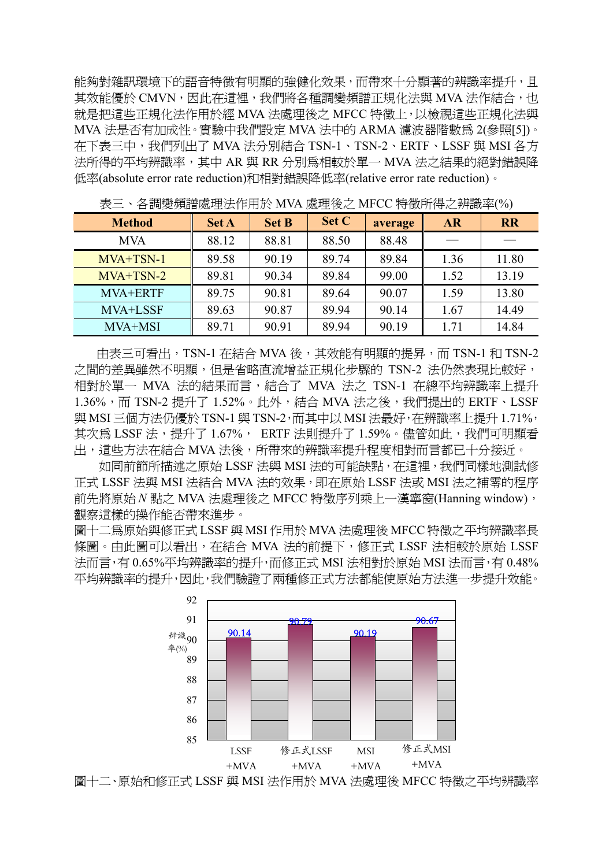能夠對雜訊環境下的語音特徵有明顯的強健化效果,而帶來十分顯著的辨識率提升,且 其效能優於 CMVN, 因此在這裡, 我們將各種調變頻譜正規化法與 MVA 法作結合, 也 就是把這些正規化法作用於經 MVA 法處理後之 MFCC 特徵上,以檢視這些正規化法與 MVA 法是否有加成性。實驗中我們設定 MVA 法中的 ARMA 濾波器階數為 2(參照[5])。 在下表三中,我們列出了 MVA 法分別結合 TSN-1、TSN-2、ERTF、LSSF 與 MSI 各方 法所得的平均辨識率,其中 AR 與 RR 分別為相較於單一 MVA 法之結果的絕對錯誤降 低率(absolute error rate reduction)和相對錯誤降低率(relative error rate reduction)。

| □ H → /// ´ H II / \ _ _   一     /   -   / ヽ |              |              | $\sim$ $\sim$ $\sim$ |         |           |           |
|----------------------------------------------|--------------|--------------|----------------------|---------|-----------|-----------|
| <b>Method</b>                                | <b>Set A</b> | <b>Set B</b> | Set C                | average | <b>AR</b> | <b>RR</b> |
| <b>MVA</b>                                   | 88.12        | 88.81        | 88.50                | 88.48   |           |           |
| MVA+TSN-1                                    | 89.58        | 90.19        | 89.74                | 89.84   | 1.36      | 11.80     |
| $MVA+TSN-2$                                  | 89.81        | 90.34        | 89.84                | 99.00   | 1.52      | 13.19     |
| MVA+ERTF                                     | 89.75        | 90.81        | 89.64                | 90.07   | 1.59      | 13.80     |
| MVA+LSSF                                     | 89.63        | 90.87        | 89.94                | 90.14   | 1.67      | 14.49     |
| MVA+MSI                                      | 89.71        | 90.91        | 89.94                | 90.19   | 1.71      | 14.84     |

表三、各調變頻譜處理法作用於 MVA 處理後之 MFCC 特徵所得之辨識率(%)

由表三可看出,TSN-1 在結合 MVA 後,其效能有明顯的提昇,而 TSN-1 和 TSN-2 之間的差異雖然不明顯,但是省略直流增益正規化步驟的 TSN-2 法仍然表現比較好, 相對於單一 MVA 法的結果而言,結合了 MVA 法之 TSN-1 在總平均辨識率上提升 1.36%,而 TSN-2 提升了 1.52%。此外,結合 MVA 法之後,我們提出的 ERTF、LSSF 與 MSI 三個方法仍優於 TSN-1 與 TSN-2, 而其中以 MSI 法最好, 在辨識率上提升 1.71%, 其次為 LSSF 法, 提升了 1.67%, ERTF 法則提升了 1.59%。儘管如此, 我們可明顯看 H1,這些方法在結合 MVA 法後,所帶來的辨識率提升程度相對而言都已十分接近。

 如同前節所描述之原始 LSSF 法與 MSI 法的可能缺點,在這裡,我們同樣地測試修 正式 LSSF 法與 MSI 法結合 MVA 法的效果,即在原始 LSSF 法或 MSI 法之補零的程序 前先將原始*N* 點之 MVA 法處理後之 MFCC 特徵序列乘上一漢寧窗(Hanning window), 觀察這樣的操作能否帶來進步。

圖十二為原始與修正式 LSSF 與 MSI 作用於 MVA 法處理後 MFCC 特徵之平均辨識率長 條圖。由此圖可以看出,在結合 MVA 法的前提下,修正式 LSSF 法相較於原始 LSSF 法而言,有 0.65%平均辨識率的提升,而修正式 MSI 法相對於原始 MSI 法而言,有 0.48% 平均辨識率的提升,因此,我們驗證了兩種修正式方法都能使原始方法進一步提升效能。



圖十二、原始和修正式 LSSF 與 MSI 法作用於 MVA 法處理後 MFCC 特徵之平均辨識率